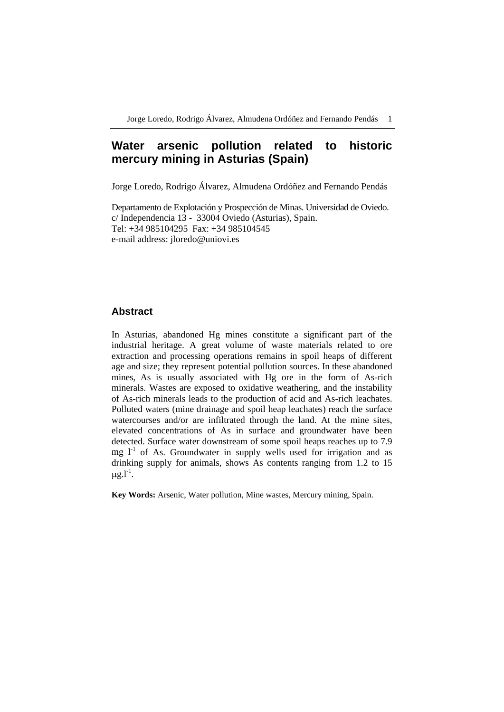# **Water arsenic pollution related to historic mercury mining in Asturias (Spain)**

Jorge Loredo, Rodrigo Álvarez, Almudena Ordóñez and Fernando Pendás

Departamento de Explotación y Prospección de Minas. Universidad de Oviedo. c/ Independencia 13 - 33004 Oviedo (Asturias), Spain. Tel: +34 985104295 Fax: +34 985104545 e-mail address: jloredo@uniovi.es

# **Abstract**

In Asturias, abandoned Hg mines constitute a significant part of the industrial heritage. A great volume of waste materials related to ore extraction and processing operations remains in spoil heaps of different age and size; they represent potential pollution sources. In these abandoned mines, As is usually associated with Hg ore in the form of As-rich minerals. Wastes are exposed to oxidative weathering, and the instability of As-rich minerals leads to the production of acid and As-rich leachates. Polluted waters (mine drainage and spoil heap leachates) reach the surface watercourses and/or are infiltrated through the land. At the mine sites, elevated concentrations of As in surface and groundwater have been detected. Surface water downstream of some spoil heaps reaches up to 7.9 mg  $1<sup>-1</sup>$  of As. Groundwater in supply wells used for irrigation and as drinking supply for animals, shows As contents ranging from 1.2 to 15  $\mu$ g.l<sup>-1</sup>.

**Key Words:** Arsenic, Water pollution, Mine wastes, Mercury mining, Spain.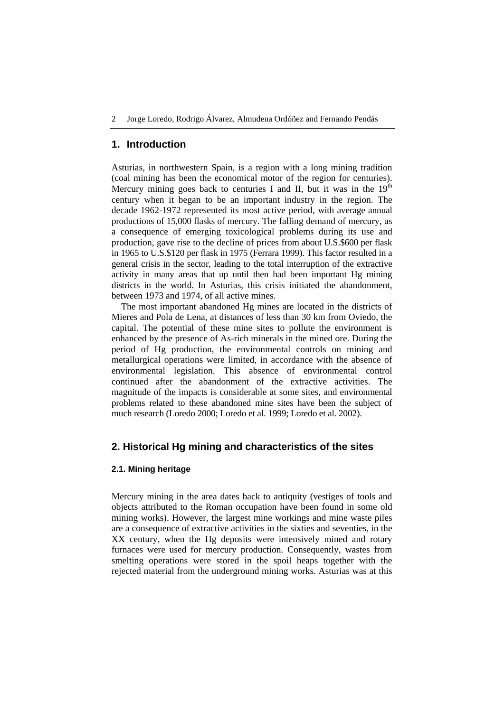### **1. Introduction**

Asturias, in northwestern Spain, is a region with a long mining tradition (coal mining has been the economical motor of the region for centuries). Mercury mining goes back to centuries I and II, but it was in the  $19<sup>th</sup>$ century when it began to be an important industry in the region. The decade 1962-1972 represented its most active period, with average annual productions of 15,000 flasks of mercury. The falling demand of mercury, as a consequence of emerging toxicological problems during its use and production, gave rise to the decline of prices from about U.S.\$600 per flask in 1965 to U.S.\$120 per flask in 1975 (Ferrara 1999). This factor resulted in a general crisis in the sector, leading to the total interruption of the extractive activity in many areas that up until then had been important Hg mining districts in the world. In Asturias, this crisis initiated the abandonment, between 1973 and 1974, of all active mines.

The most important abandoned Hg mines are located in the districts of Mieres and Pola de Lena, at distances of less than 30 km from Oviedo, the capital. The potential of these mine sites to pollute the environment is enhanced by the presence of As-rich minerals in the mined ore. During the period of Hg production, the environmental controls on mining and metallurgical operations were limited, in accordance with the absence of environmental legislation. This absence of environmental control continued after the abandonment of the extractive activities. The magnitude of the impacts is considerable at some sites, and environmental problems related to these abandoned mine sites have been the subject of much research (Loredo 2000; Loredo et al. 1999; Loredo et al. 2002).

# **2. Historical Hg mining and characteristics of the sites**

# **2.1. Mining heritage**

Mercury mining in the area dates back to antiquity (vestiges of tools and objects attributed to the Roman occupation have been found in some old mining works). However, the largest mine workings and mine waste piles are a consequence of extractive activities in the sixties and seventies, in the XX century, when the Hg deposits were intensively mined and rotary furnaces were used for mercury production. Consequently, wastes from smelting operations were stored in the spoil heaps together with the rejected material from the underground mining works. Asturias was at this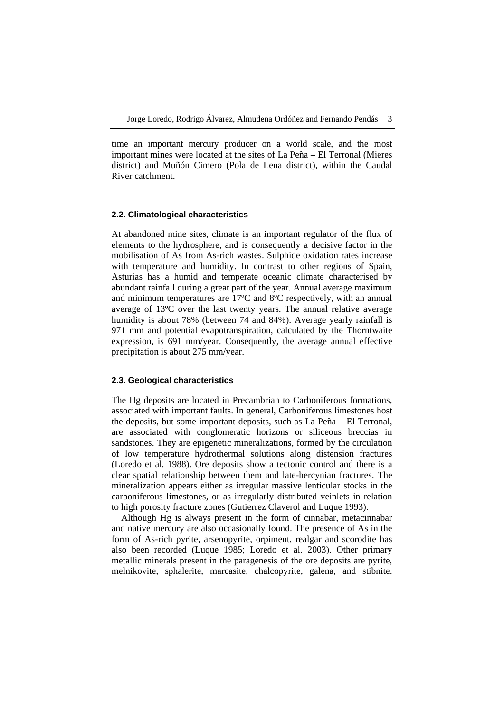time an important mercury producer on a world scale, and the most important mines were located at the sites of La Peña – El Terronal (Mieres district) and Muñón Cimero (Pola de Lena district), within the Caudal River catchment.

#### **2.2. Climatological characteristics**

At abandoned mine sites, climate is an important regulator of the flux of elements to the hydrosphere, and is consequently a decisive factor in the mobilisation of As from As-rich wastes. Sulphide oxidation rates increase with temperature and humidity. In contrast to other regions of Spain, Asturias has a humid and temperate oceanic climate characterised by abundant rainfall during a great part of the year. Annual average maximum and minimum temperatures are 17ºC and 8ºC respectively, with an annual average of 13ºC over the last twenty years. The annual relative average humidity is about 78% (between 74 and 84%). Average yearly rainfall is 971 mm and potential evapotranspiration, calculated by the Thorntwaite expression, is 691 mm/year. Consequently, the average annual effective precipitation is about 275 mm/year.

#### **2.3. Geological characteristics**

The Hg deposits are located in Precambrian to Carboniferous formations, associated with important faults. In general, Carboniferous limestones host the deposits, but some important deposits, such as La Peña – El Terronal, are associated with conglomeratic horizons or siliceous breccias in sandstones. They are epigenetic mineralizations, formed by the circulation of low temperature hydrothermal solutions along distension fractures (Loredo et al. 1988). Ore deposits show a tectonic control and there is a clear spatial relationship between them and late-hercynian fractures. The mineralization appears either as irregular massive lenticular stocks in the carboniferous limestones, or as irregularly distributed veinlets in relation to high porosity fracture zones (Gutierrez Claverol and Luque 1993).

Although Hg is always present in the form of cinnabar, metacinnabar and native mercury are also occasionally found. The presence of As in the form of As-rich pyrite, arsenopyrite, orpiment, realgar and scorodite has also been recorded (Luque 1985; Loredo et al. 2003). Other primary metallic minerals present in the paragenesis of the ore deposits are pyrite, melnikovite, sphalerite, marcasite, chalcopyrite, galena, and stibnite.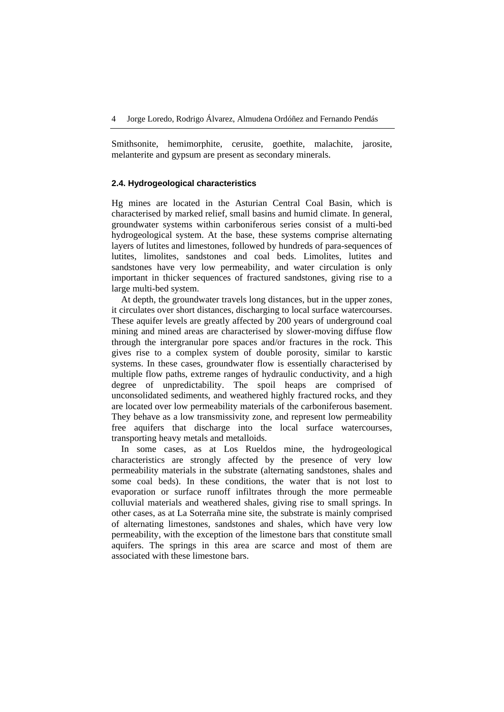Smithsonite, hemimorphite, cerusite, goethite, malachite, jarosite, melanterite and gypsum are present as secondary minerals.

# **2.4. Hydrogeological characteristics**

Hg mines are located in the Asturian Central Coal Basin, which is characterised by marked relief, small basins and humid climate. In general, groundwater systems within carboniferous series consist of a multi-bed hydrogeological system. At the base, these systems comprise alternating layers of lutites and limestones, followed by hundreds of para-sequences of lutites, limolites, sandstones and coal beds. Limolites, lutites and sandstones have very low permeability, and water circulation is only important in thicker sequences of fractured sandstones, giving rise to a large multi-bed system.

At depth, the groundwater travels long distances, but in the upper zones, it circulates over short distances, discharging to local surface watercourses. These aquifer levels are greatly affected by 200 years of underground coal mining and mined areas are characterised by slower-moving diffuse flow through the intergranular pore spaces and/or fractures in the rock. This gives rise to a complex system of double porosity, similar to karstic systems. In these cases, groundwater flow is essentially characterised by multiple flow paths, extreme ranges of hydraulic conductivity, and a high degree of unpredictability. The spoil heaps are comprised of unconsolidated sediments, and weathered highly fractured rocks, and they are located over low permeability materials of the carboniferous basement. They behave as a low transmissivity zone, and represent low permeability free aquifers that discharge into the local surface watercourses, transporting heavy metals and metalloids.

In some cases, as at Los Rueldos mine, the hydrogeological characteristics are strongly affected by the presence of very low permeability materials in the substrate (alternating sandstones, shales and some coal beds). In these conditions, the water that is not lost to evaporation or surface runoff infiltrates through the more permeable colluvial materials and weathered shales, giving rise to small springs. In other cases, as at La Soterraña mine site, the substrate is mainly comprised of alternating limestones, sandstones and shales, which have very low permeability, with the exception of the limestone bars that constitute small aquifers. The springs in this area are scarce and most of them are associated with these limestone bars.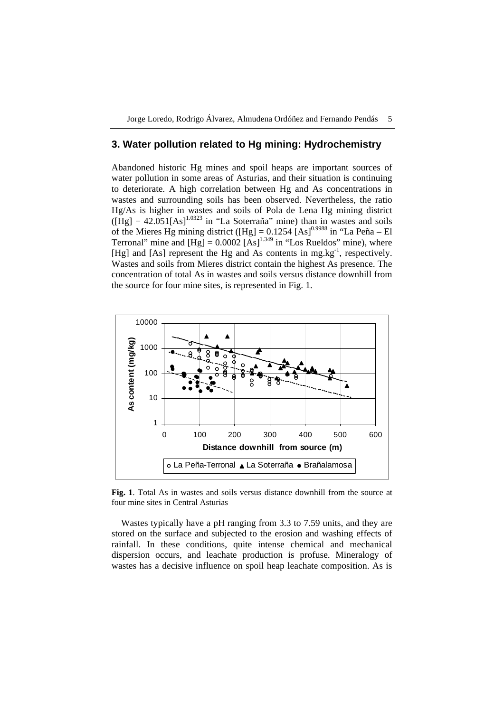# **3. Water pollution related to Hg mining: Hydrochemistry**

Abandoned historic Hg mines and spoil heaps are important sources of water pollution in some areas of Asturias, and their situation is continuing to deteriorate. A high correlation between Hg and As concentrations in wastes and surrounding soils has been observed. Nevertheless, the ratio Hg/As is higher in wastes and soils of Pola de Lena Hg mining district  $(Hg) = 42.051[As]^{1.0323}$  in "La Soterraña" mine) than in wastes and soils of the Mieres Hg mining district ( $[Hg] = 0.1254$   $[As]^{0.9988}$  in "La Peña – El Terronal" mine and  $[Hg] = 0.0002 [As]^{1.349}$  in "Los Rueldos" mine), where [Hg] and [As] represent the Hg and As contents in mg.kg<sup>-1</sup>, respectively. Wastes and soils from Mieres district contain the highest As presence. The concentration of total As in wastes and soils versus distance downhill from the source for four mine sites, is represented in Fig. 1.



**Fig. 1**. Total As in wastes and soils versus distance downhill from the source at four mine sites in Central Asturias

Wastes typically have a pH ranging from 3.3 to 7.59 units, and they are stored on the surface and subjected to the erosion and washing effects of rainfall. In these conditions, quite intense chemical and mechanical dispersion occurs, and leachate production is profuse. Mineralogy of wastes has a decisive influence on spoil heap leachate composition. As is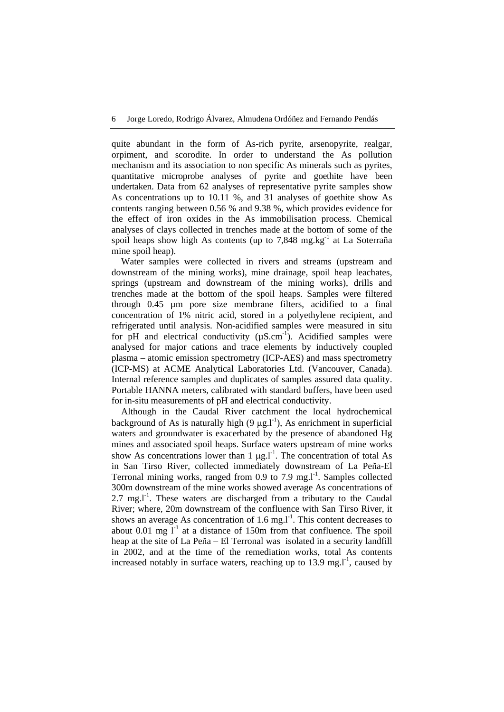quite abundant in the form of As-rich pyrite, arsenopyrite, realgar, orpiment, and scorodite. In order to understand the As pollution mechanism and its association to non specific As minerals such as pyrites, quantitative microprobe analyses of pyrite and goethite have been undertaken. Data from 62 analyses of representative pyrite samples show As concentrations up to 10.11 %, and 31 analyses of goethite show As contents ranging between 0.56 % and 9.38 %, which provides evidence for the effect of iron oxides in the As immobilisation process. Chemical analyses of clays collected in trenches made at the bottom of some of the spoil heaps show high As contents (up to  $7.848 \text{ mg} \cdot \text{kg}^{-1}$  at La Soterraña mine spoil heap).

Water samples were collected in rivers and streams (upstream and downstream of the mining works), mine drainage, spoil heap leachates, springs (upstream and downstream of the mining works), drills and trenches made at the bottom of the spoil heaps. Samples were filtered through 0.45 µm pore size membrane filters, acidified to a final concentration of 1% nitric acid, stored in a polyethylene recipient, and refrigerated until analysis. Non-acidified samples were measured in situ for pH and electrical conductivity  $(\mu S.cm^{-1})$ . Acidified samples were analysed for major cations and trace elements by inductively coupled plasma – atomic emission spectrometry (ICP-AES) and mass spectrometry (ICP-MS) at ACME Analytical Laboratories Ltd. (Vancouver, Canada). Internal reference samples and duplicates of samples assured data quality. Portable HANNA meters, calibrated with standard buffers, have been used for in-situ measurements of pH and electrical conductivity.

Although in the Caudal River catchment the local hydrochemical background of As is naturally high  $(9 \mu g.1^{-1})$ , As enrichment in superficial waters and groundwater is exacerbated by the presence of abandoned Hg mines and associated spoil heaps. Surface waters upstream of mine works show As concentrations lower than 1  $\mu$ g.l<sup>-1</sup>. The concentration of total As in San Tirso River, collected immediately downstream of La Peña-El Terronal mining works, ranged from  $0.9$  to  $7.9$  mg.<sup>1-1</sup>. Samples collected 300m downstream of the mine works showed average As concentrations of  $2.7 \text{ mg.}$ <sup>1</sup>. These waters are discharged from a tributary to the Caudal River; where, 20m downstream of the confluence with San Tirso River, it shows an average As concentration of  $1.6$  mg.<sup>1-1</sup>. This content decreases to about 0.01 mg  $I^{-1}$  at a distance of 150m from that confluence. The spoil heap at the site of La Peña – El Terronal was isolated in a security landfill in 2002, and at the time of the remediation works, total As contents increased notably in surface waters, reaching up to  $13.9 \text{ mg}$ . caused by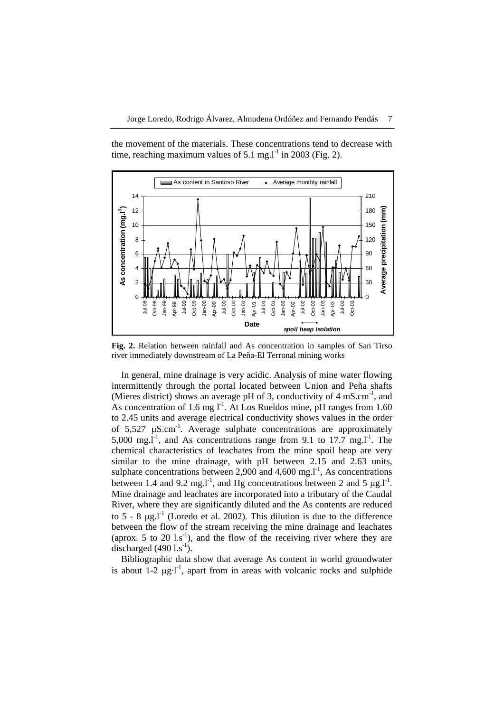the movement of the materials. These concentrations tend to decrease with time, reaching maximum values of 5.1 mg.  $I<sup>-1</sup>$  in 2003 (Fig. 2).



**Fig. 2.** Relation between rainfall and As concentration in samples of San Tirso river immediately downstream of La Peña-El Terronal mining works

In general, mine drainage is very acidic. Analysis of mine water flowing intermittently through the portal located between Union and Peña shafts (Mieres district) shows an average pH of 3, conductivity of  $4 \text{ mS.cm}^{-1}$ , and As concentration of 1.6 mg  $l<sup>-1</sup>$ . At Los Rueldos mine, pH ranges from 1.60 to 2.45 units and average electrical conductivity shows values in the order of  $5.527 \text{ uS.cm}^{-1}$ . Average sulphate concentrations are approximately 5,000 mg.<sup>1-1</sup>, and As concentrations range from 9.1 to  $17.7 \text{ mg}$ .1<sup>-1</sup>. The chemical characteristics of leachates from the mine spoil heap are very similar to the mine drainage, with pH between 2.15 and 2.63 units, sulphate concentrations between 2,900 and 4,600 mg. $l^{-1}$ , As concentrations between 1.4 and 9.2 mg.<sup>1-1</sup>, and Hg concentrations between 2 and 5  $\mu$ g.<sup>1-1</sup>. Mine drainage and leachates are incorporated into a tributary of the Caudal River, where they are significantly diluted and the As contents are reduced to  $5 - 8$  μg.l<sup>-1</sup> (Loredo et al. 2002). This dilution is due to the difference between the flow of the stream receiving the mine drainage and leachates (aprox. 5 to 20  $1.\mathrm{s}^{-1}$ ), and the flow of the receiving river where they are discharged  $(490 \text{ 1}.\text{s}^{-1})$ .

Bibliographic data show that average As content in world groundwater is about  $1-2 \mu g l^{-1}$ , apart from in areas with volcanic rocks and sulphide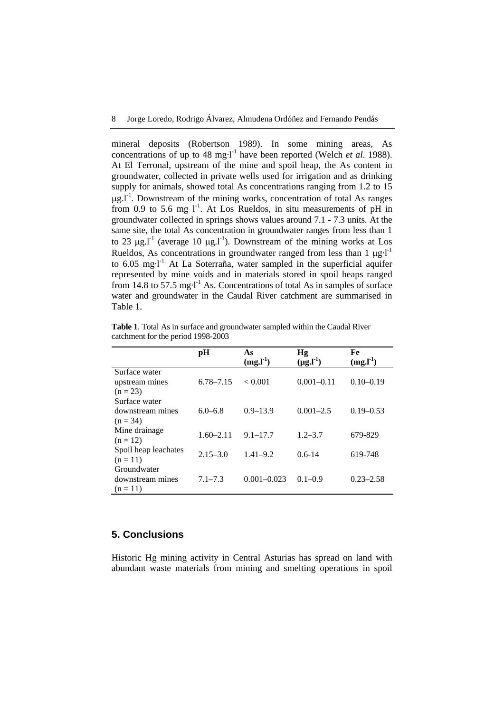mineral deposits (Robertson 1989). In some mining areas, As concentrations of up to 48 mg·l<sup>-1</sup> have been reported (Welch *et al.* 1988). At El Terronal, upstream of the mine and spoil heap, the As content in groundwater, collected in private wells used for irrigation and as drinking supply for animals, showed total As concentrations ranging from 1.2 to 15  $\mu$ g.l<sup>-1</sup>. Downstream of the mining works, concentration of total As ranges from 0.9 to 5.6 mg  $I<sup>-1</sup>$ . At Los Rueldos, in situ measurements of pH in groundwater collected in springs shows values around 7.1 - 7.3 units. At the same site, the total As concentration in groundwater ranges from less than 1 to 23 μg.l<sup>-1</sup> (average 10 μg.l<sup>-1</sup>). Downstream of the mining works at Los Rueldos, As concentrations in groundwater ranged from less than 1  $\mu$ g·l<sup>-1</sup> to  $6.05$  mg·l<sup>-1.</sup> At La Soterraña, water sampled in the superficial aquifer represented by mine voids and in materials stored in spoil heaps ranged from 14.8 to 57.5 mg·l<sup>-1</sup> As. Concentrations of total As in samples of surface water and groundwater in the Caudal River catchment are summarised in Table 1.

|                                                 | pН            | As<br>$(mg.l-1)$ | Hg<br>$(\mu g.I^{-1})$ | Fe<br>$(mg.l-1)$ |
|-------------------------------------------------|---------------|------------------|------------------------|------------------|
| Surface water<br>upstream mines<br>$(n = 23)$   | $6.78 - 7.15$ | < 0.001          | $0.001 - 0.11$         | $0.10 - 0.19$    |
| Surface water<br>downstream mines<br>$(n = 34)$ | $6.0 - 6.8$   | $0.9 - 13.9$     | $0.001 - 2.5$          | $0.19 - 0.53$    |
| Mine drainage<br>$(n = 12)$                     | $1.60 - 2.11$ | $9.1 - 17.7$     | $1.2 - 3.7$            | 679-829          |
| Spoil heap leachates<br>$(n = 11)$              | $2.15 - 3.0$  | $1.41 - 9.2$     | $0.6 - 14$             | 619-748          |
| Groundwater<br>downstream mines<br>$(n = 11)$   | $7.1 - 7.3$   | $0.001 - 0.023$  | $0.1 - 0.9$            | $0.23 - 2.58$    |

**Table 1**. Total As in surface and groundwater sampled within the Caudal River catchment for the period 1998-2003

# **5. Conclusions**

Historic Hg mining activity in Central Asturias has spread on land with abundant waste materials from mining and smelting operations in spoil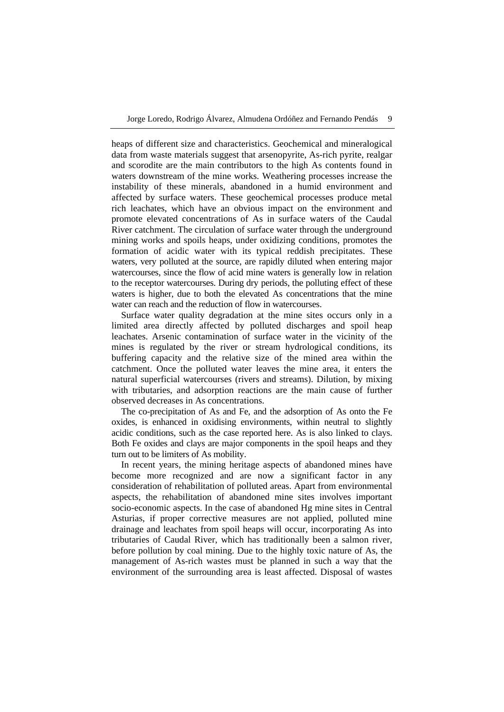heaps of different size and characteristics. Geochemical and mineralogical data from waste materials suggest that arsenopyrite, As-rich pyrite, realgar and scorodite are the main contributors to the high As contents found in waters downstream of the mine works. Weathering processes increase the instability of these minerals, abandoned in a humid environment and affected by surface waters. These geochemical processes produce metal rich leachates, which have an obvious impact on the environment and promote elevated concentrations of As in surface waters of the Caudal River catchment. The circulation of surface water through the underground mining works and spoils heaps, under oxidizing conditions, promotes the formation of acidic water with its typical reddish precipitates. These waters, very polluted at the source, are rapidly diluted when entering major watercourses, since the flow of acid mine waters is generally low in relation to the receptor watercourses. During dry periods, the polluting effect of these waters is higher, due to both the elevated As concentrations that the mine water can reach and the reduction of flow in watercourses.

Surface water quality degradation at the mine sites occurs only in a limited area directly affected by polluted discharges and spoil heap leachates. Arsenic contamination of surface water in the vicinity of the mines is regulated by the river or stream hydrological conditions, its buffering capacity and the relative size of the mined area within the catchment. Once the polluted water leaves the mine area, it enters the natural superficial watercourses (rivers and streams). Dilution, by mixing with tributaries, and adsorption reactions are the main cause of further observed decreases in As concentrations.

The co-precipitation of As and Fe, and the adsorption of As onto the Fe oxides, is enhanced in oxidising environments, within neutral to slightly acidic conditions, such as the case reported here. As is also linked to clays. Both Fe oxides and clays are major components in the spoil heaps and they turn out to be limiters of As mobility.

In recent years, the mining heritage aspects of abandoned mines have become more recognized and are now a significant factor in any consideration of rehabilitation of polluted areas. Apart from environmental aspects, the rehabilitation of abandoned mine sites involves important socio-economic aspects. In the case of abandoned Hg mine sites in Central Asturias, if proper corrective measures are not applied, polluted mine drainage and leachates from spoil heaps will occur, incorporating As into tributaries of Caudal River, which has traditionally been a salmon river, before pollution by coal mining. Due to the highly toxic nature of As, the management of As-rich wastes must be planned in such a way that the environment of the surrounding area is least affected. Disposal of wastes